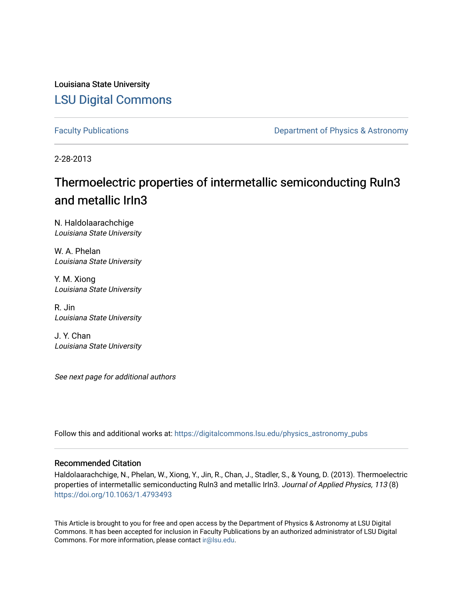Louisiana State University [LSU Digital Commons](https://digitalcommons.lsu.edu/)

[Faculty Publications](https://digitalcommons.lsu.edu/physics_astronomy_pubs) **Exercise 2 and Table 2 and Table 2 and Table 2 and Table 2 and Table 2 and Table 2 and Table 2 and Table 2 and Table 2 and Table 2 and Table 2 and Table 2 and Table 2 and Table 2 and Table 2 and Table** 

2-28-2013

# Thermoelectric properties of intermetallic semiconducting RuIn3 and metallic IrIn3

N. Haldolaarachchige Louisiana State University

W. A. Phelan Louisiana State University

Y. M. Xiong Louisiana State University

R. Jin Louisiana State University

J. Y. Chan Louisiana State University

See next page for additional authors

Follow this and additional works at: [https://digitalcommons.lsu.edu/physics\\_astronomy\\_pubs](https://digitalcommons.lsu.edu/physics_astronomy_pubs?utm_source=digitalcommons.lsu.edu%2Fphysics_astronomy_pubs%2F5276&utm_medium=PDF&utm_campaign=PDFCoverPages) 

#### Recommended Citation

Haldolaarachchige, N., Phelan, W., Xiong, Y., Jin, R., Chan, J., Stadler, S., & Young, D. (2013). Thermoelectric properties of intermetallic semiconducting RuIn3 and metallic IrIn3. Journal of Applied Physics, 113 (8) <https://doi.org/10.1063/1.4793493>

This Article is brought to you for free and open access by the Department of Physics & Astronomy at LSU Digital Commons. It has been accepted for inclusion in Faculty Publications by an authorized administrator of LSU Digital Commons. For more information, please contact [ir@lsu.edu](mailto:ir@lsu.edu).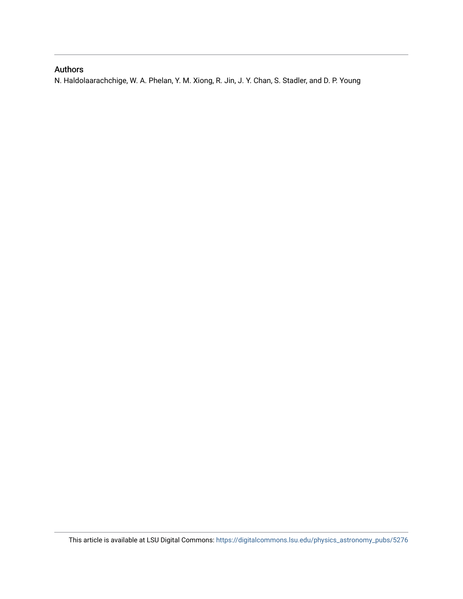## Authors

N. Haldolaarachchige, W. A. Phelan, Y. M. Xiong, R. Jin, J. Y. Chan, S. Stadler, and D. P. Young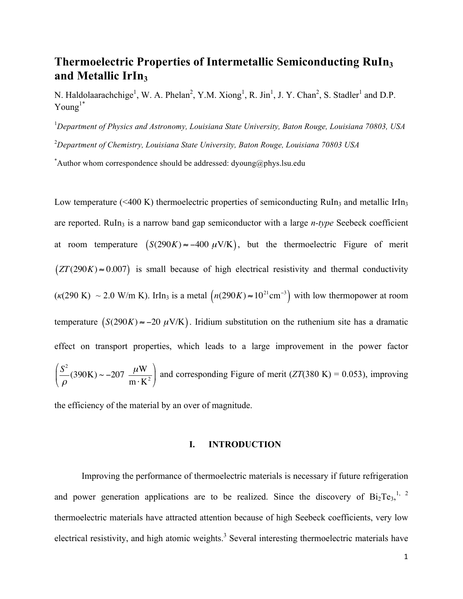# **Thermoelectric Properties of Intermetallic Semiconducting RuIn3 and Metallic IrIn3**

N. Haldolaarachchige<sup>1</sup>, W. A. Phelan<sup>2</sup>, Y.M. Xiong<sup>1</sup>, R. Jin<sup>1</sup>, J. Y. Chan<sup>2</sup>, S. Stadler<sup>1</sup> and D.P.  $Young<sup>1*</sup>$ 

1 *Department of Physics and Astronomy, Louisiana State University, Baton Rouge, Louisiana 70803, USA*

2 *Department of Chemistry, Louisiana State University, Baton Rouge, Louisiana 70803 USA*

\*Author whom correspondence should be addressed: dyoung@phys.lsu.edu

Low temperature ( $\leq 400$  K) thermoelectric properties of semiconducting RuIn<sub>3</sub> and metallic IrIn<sub>3</sub> are reported. RuIn<sub>3</sub> is a narrow band gap semiconductor with a large *n-type* Seebeck coefficient at room temperature  $(S(290K) \approx -400 \mu\text{V/K})$ , but the thermoelectric Figure of merit  $(ZT(290K) \approx 0.007)$  is small because of high electrical resistivity and thermal conductivity  $(\kappa(290 \text{ K}) \sim 2.0 \text{ W/m K})$ . IrIn<sub>3</sub> is a metal  $(n(290K) \approx 10^{21} \text{ cm}^{-3})$  with low thermopower at room temperature  $(S(290K) \approx -20 \mu V/K)$ . Iridium substitution on the ruthenium site has a dramatic effect on transport properties, which leads to a large improvement in the power factor  $S<sup>2</sup>$  $\rho$  $(390K) \sim -207 \frac{\mu W}{V}$  $m \cdot K^2$ (  $\backslash$  $\left(\frac{S^2}{\rho}\right. (390\text{K}) \sim -207 \frac{\mu\text{W}}{\rho\text{mK}^2}\right)$ ' and corresponding Figure of merit  $(ZT(380 \text{ K}) = 0.053)$ , improving

the efficiency of the material by an over of magnitude.

#### **I. INTRODUCTION**

Improving the performance of thermoelectric materials is necessary if future refrigeration and power generation applications are to be realized. Since the discovery of  $Bi_2Te_3$ ,<sup>1, 2</sup> thermoelectric materials have attracted attention because of high Seebeck coefficients, very low electrical resistivity, and high atomic weights.<sup>3</sup> Several interesting thermoelectric materials have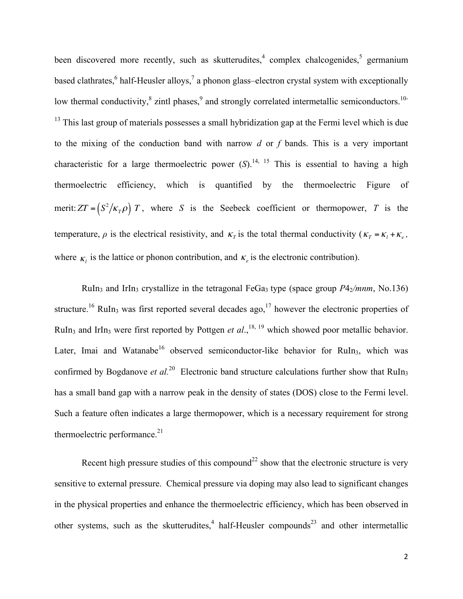been discovered more recently, such as skutterudites,<sup>4</sup> complex chalcogenides,<sup>5</sup> germanium based clathrates, <sup>6</sup> half-Heusler alloys,<sup>7</sup> a phonon glass-electron crystal system with exceptionally low thermal conductivity,  $\frac{8}{3}$  zintl phases,  $\frac{9}{3}$  and strongly correlated intermetallic semiconductors.<sup>10-</sup> <sup>13</sup> This last group of materials possesses a small hybridization gap at the Fermi level which is due to the mixing of the conduction band with narrow *d* or *f* bands. This is a very important characteristic for a large thermoelectric power  $(S)$ .<sup>14, 15</sup> This is essential to having a high thermoelectric efficiency, which is quantified by the thermoelectric Figure of merit:  $ZT = (S^2 / \kappa_T \rho) T$ , where *S* is the Seebeck coefficient or thermopower, *T* is the temperature,  $\rho$  is the electrical resistivity, and  $\kappa_T$  is the total thermal conductivity ( $\kappa_T = \kappa_l + \kappa_e$ , where  $\kappa$ , is the lattice or phonon contribution, and  $\kappa$ <sub>e</sub> is the electronic contribution).

RuIn<sub>3</sub> and IrIn<sub>3</sub> crystallize in the tetragonal FeGa<sub>3</sub> type (space group  $P4_2/mnm$ , No.136) structure.<sup>16</sup> RuIn<sub>3</sub> was first reported several decades ago,<sup>17</sup> however the electronic properties of RuIn<sub>3</sub> and IrIn<sub>3</sub> were first reported by Pottgen *et al.*,<sup>18, 19</sup> which showed poor metallic behavior. Later, Imai and Watanabe<sup>16</sup> observed semiconductor-like behavior for RuIn<sub>3</sub>, which was confirmed by Bogdanove *et al.*<sup>20</sup> Electronic band structure calculations further show that RuIn<sub>3</sub> has a small band gap with a narrow peak in the density of states (DOS) close to the Fermi level. Such a feature often indicates a large thermopower, which is a necessary requirement for strong thermoelectric performance. $21$ 

Recent high pressure studies of this compound<sup>22</sup> show that the electronic structure is very sensitive to external pressure. Chemical pressure via doping may also lead to significant changes in the physical properties and enhance the thermoelectric efficiency, which has been observed in other systems, such as the skutterudites,<sup>4</sup> half-Heusler compounds<sup>23</sup> and other intermetallic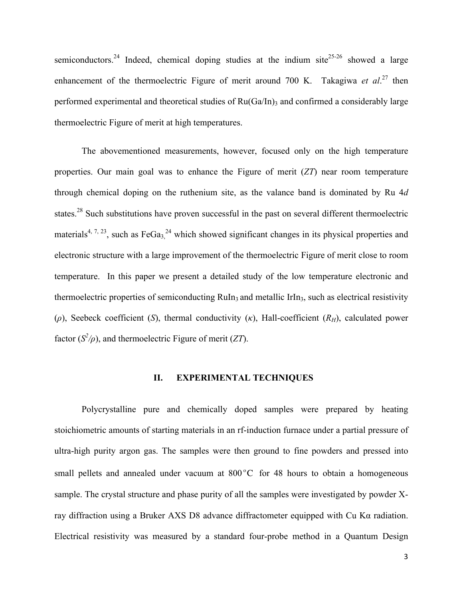semiconductors.<sup>24</sup> Indeed, chemical doping studies at the indium site<sup>25-26</sup> showed a large enhancement of the thermoelectric Figure of merit around 700 K. Takagiwa *et al.*<sup>27</sup> then performed experimental and theoretical studies of  $Ru(Ga/In)$ <sub>3</sub> and confirmed a considerably large thermoelectric Figure of merit at high temperatures.

The abovementioned measurements, however, focused only on the high temperature properties. Our main goal was to enhance the Figure of merit (*ZT*) near room temperature through chemical doping on the ruthenium site, as the valance band is dominated by Ru 4*d* states.<sup>28</sup> Such substitutions have proven successful in the past on several different thermoelectric materials<sup>4, 7, 23</sup>, such as FeGa<sub>3</sub><sup>24</sup> which showed significant changes in its physical properties and electronic structure with a large improvement of the thermoelectric Figure of merit close to room temperature. In this paper we present a detailed study of the low temperature electronic and thermoelectric properties of semiconducting  $\text{Rul}_3$  and metallic IrIn<sub>3</sub>, such as electrical resistivity (*ρ*), Seebeck coefficient (*S*), thermal conductivity (*κ*), Hall-coefficient (*RH*), calculated power factor  $(S^2/\rho)$ , and thermoelectric Figure of merit (*ZT*).

#### **II. EXPERIMENTAL TECHNIQUES**

Polycrystalline pure and chemically doped samples were prepared by heating stoichiometric amounts of starting materials in an rf-induction furnace under a partial pressure of ultra-high purity argon gas. The samples were then ground to fine powders and pressed into small pellets and annealed under vacuum at  $800^{\circ}$ C for 48 hours to obtain a homogeneous sample. The crystal structure and phase purity of all the samples were investigated by powder Xray diffraction using a Bruker AXS D8 advance diffractometer equipped with Cu Kα radiation. Electrical resistivity was measured by a standard four-probe method in a Quantum Design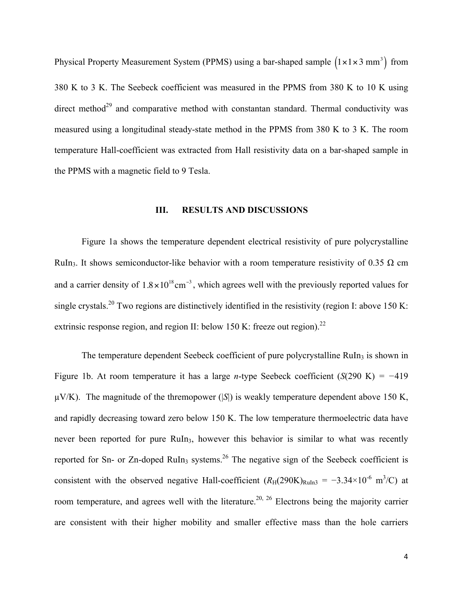Physical Property Measurement System (PPMS) using a bar-shaped sample  $(1 \times 1 \times 3 \text{ mm}^3)$  from 380 K to 3 K. The Seebeck coefficient was measured in the PPMS from 380 K to 10 K using direct method<sup>29</sup> and comparative method with constantan standard. Thermal conductivity was measured using a longitudinal steady-state method in the PPMS from 380 K to 3 K. The room temperature Hall-coefficient was extracted from Hall resistivity data on a bar-shaped sample in the PPMS with a magnetic field to 9 Tesla.

#### **III. RESULTS AND DISCUSSIONS**

Figure 1a shows the temperature dependent electrical resistivity of pure polycrystalline RuIn<sub>3</sub>. It shows semiconductor-like behavior with a room temperature resistivity of 0.35  $\Omega$  cm and a carrier density of  $1.8 \times 10^{18}$  cm<sup>-3</sup>, which agrees well with the previously reported values for single crystals.<sup>20</sup> Two regions are distinctively identified in the resistivity (region I: above 150 K: extrinsic response region, and region II: below 150 K: freeze out region).<sup>22</sup>

The temperature dependent Seebeck coefficient of pure polycrystalline  $\text{Ruln}_3$  is shown in Figure 1b. At room temperature it has a large *n*-type Seebeck coefficient (*S*(290 K) *= −*419  $\mu$ V/K). The magnitude of the thremopower (|S|) is weakly temperature dependent above 150 K, and rapidly decreasing toward zero below 150 K. The low temperature thermoelectric data have never been reported for pure RuIn<sub>3</sub>, however this behavior is similar to what was recently reported for Sn- or Zn-doped RuIn<sub>3</sub> systems.<sup>26</sup> The negative sign of the Seebeck coefficient is consistent with the observed negative Hall-coefficient  $(R_H(290K)_{\text{Ruln3}} = -3.34 \times 10^{-6} \text{ m}^3/\text{C}$  at room temperature, and agrees well with the literature.<sup>20, 26</sup> Electrons being the majority carrier are consistent with their higher mobility and smaller effective mass than the hole carriers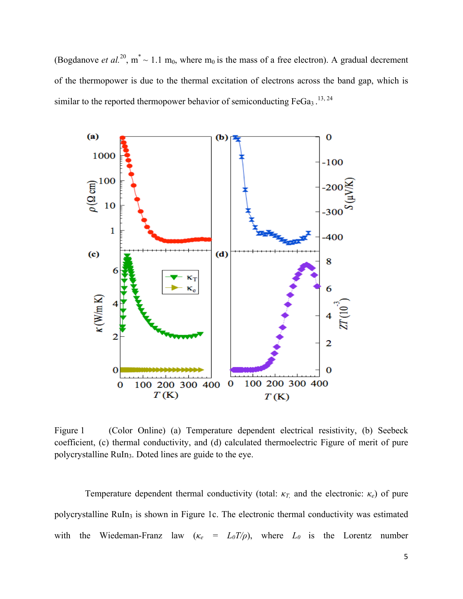(Bogdanove *et al.*<sup>20</sup>,  $m^* \sim 1.1$  m<sub>0</sub>, where m<sub>0</sub> is the mass of a free electron). A gradual decrement of the thermopower is due to the thermal excitation of electrons across the band gap, which is similar to the reported thermopower behavior of semiconducting  $FeGa<sub>3</sub>$ .<sup>13, 24</sup>



Figure 1 (Color Online) (a) Temperature dependent electrical resistivity, (b) Seebeck coefficient, (c) thermal conductivity, and (d) calculated thermoelectric Figure of merit of pure polycrystalline RuIn3. Doted lines are guide to the eye.

Temperature dependent thermal conductivity (total: *κT,* and the electronic: *κe*) of pure polycrystalline RuIn<sub>3</sub> is shown in Figure 1c. The electronic thermal conductivity was estimated with the Wiedeman-Franz law  $(\kappa_e = L_0 T/\rho)$ , where  $L_0$  is the Lorentz number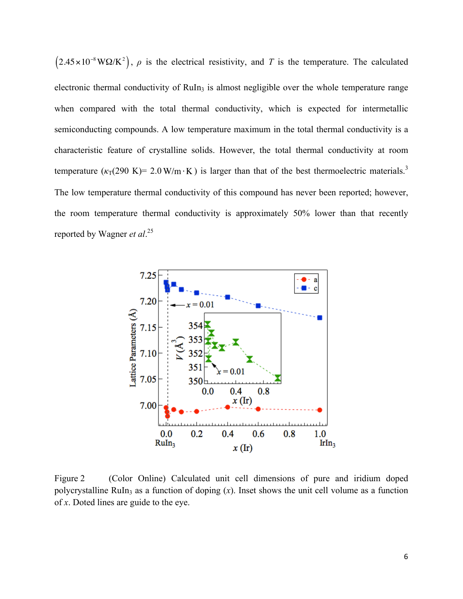$(2.45 \times 10^{-8} W\Omega/K^2)$ ,  $\rho$  is the electrical resistivity, and *T* is the temperature. The calculated electronic thermal conductivity of RuIn<sub>3</sub> is almost negligible over the whole temperature range when compared with the total thermal conductivity, which is expected for intermetallic semiconducting compounds. A low temperature maximum in the total thermal conductivity is a characteristic feature of crystalline solids. However, the total thermal conductivity at room temperature  $(\kappa_{\text{T}}(290 \text{ K})= 2.0 \text{ W/m} \cdot \text{K})$  is larger than that of the best thermoelectric materials.<sup>3</sup> The low temperature thermal conductivity of this compound has never been reported; however, the room temperature thermal conductivity is approximately 50% lower than that recently reported by Wagner *et al*. 25



Figure 2 (Color Online) Calculated unit cell dimensions of pure and iridium doped polycrystalline RuIn<sub>3</sub> as a function of doping  $(x)$ . Inset shows the unit cell volume as a function of *x*. Doted lines are guide to the eye.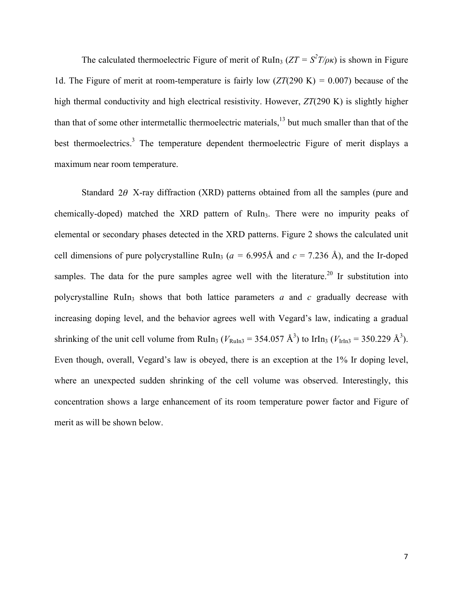The calculated thermoelectric Figure of merit of RuIn<sub>3</sub> ( $ZT = S^2 T / \rho \kappa$ ) is shown in Figure 1d. The Figure of merit at room-temperature is fairly low (*ZT*(290 K) *=* 0.007) because of the high thermal conductivity and high electrical resistivity. However, *ZT*(290 K) is slightly higher than that of some other intermetallic thermoelectric materials,<sup>13</sup> but much smaller than that of the best thermoelectrics.<sup>3</sup> The temperature dependent thermoelectric Figure of merit displays a maximum near room temperature.

Standard  $2\theta$  X-ray diffraction (XRD) patterns obtained from all the samples (pure and chemically-doped) matched the XRD pattern of RuIn<sub>3</sub>. There were no impurity peaks of elemental or secondary phases detected in the XRD patterns. Figure 2 shows the calculated unit cell dimensions of pure polycrystalline RuIn<sub>3</sub> ( $a = 6.995$ Å and  $c = 7.236$  Å), and the Ir-doped samples. The data for the pure samples agree well with the literature.<sup>20</sup> Ir substitution into polycrystalline RuIn<sub>3</sub> shows that both lattice parameters  $a$  and  $c$  gradually decrease with increasing doping level, and the behavior agrees well with Vegard's law, indicating a gradual shrinking of the unit cell volume from RuIn<sub>3</sub> ( $V_{\text{Ruln3}} = 354.057 \text{ Å}^3$ ) to IrIn<sub>3</sub> ( $V_{\text{IrIn3}} = 350.229 \text{ Å}^3$ ). Even though, overall, Vegard's law is obeyed, there is an exception at the 1% Ir doping level, where an unexpected sudden shrinking of the cell volume was observed. Interestingly, this concentration shows a large enhancement of its room temperature power factor and Figure of merit as will be shown below.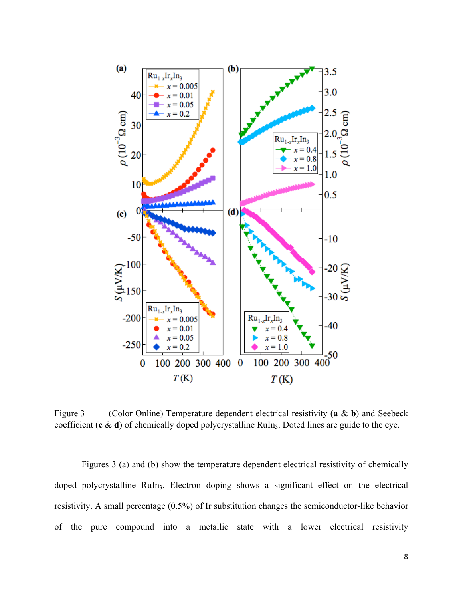

Figure 3 (Color Online) Temperature dependent electrical resistivity (**a** & **b**) and Seebeck coefficient (**c** & **d**) of chemically doped polycrystalline RuIn<sub>3</sub>. Doted lines are guide to the eye.

Figures 3 (a) and (b) show the temperature dependent electrical resistivity of chemically doped polycrystalline RuIn<sub>3</sub>. Electron doping shows a significant effect on the electrical resistivity. A small percentage (0.5%) of Ir substitution changes the semiconductor-like behavior of the pure compound into a metallic state with a lower electrical resistivity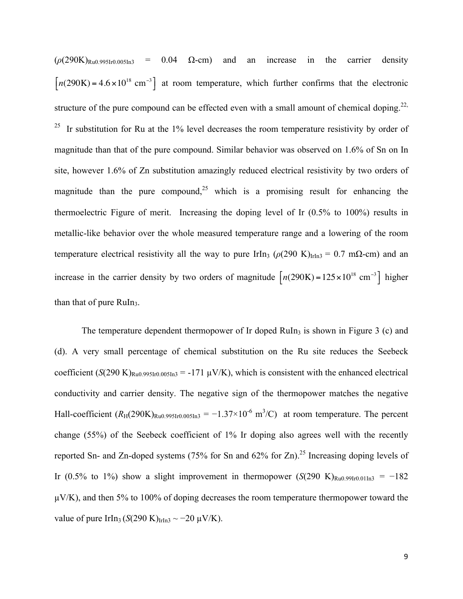$(\rho(290K)_{Ru0.995Ir0.005In3}$  = 0.04  $\Omega$ -cm) and an increase in the carrier density  $[n(290K) = 4.6 \times 10^{18} \text{ cm}^{-3}]$  at room temperature, which further confirms that the electronic structure of the pure compound can be effected even with a small amount of chemical doping.<sup>22,</sup> <sup>25</sup> Ir substitution for Ru at the 1% level decreases the room temperature resistivity by order of magnitude than that of the pure compound. Similar behavior was observed on 1.6% of Sn on In site, however 1.6% of Zn substitution amazingly reduced electrical resistivity by two orders of magnitude than the pure compound, <sup>25</sup> which is a promising result for enhancing the thermoelectric Figure of merit. Increasing the doping level of Ir (0.5% to 100%) results in metallic-like behavior over the whole measured temperature range and a lowering of the room temperature electrical resistivity all the way to pure IrIn<sub>3</sub> ( $\rho$ (290 K)<sub>IrIn3</sub> = 0.7 mΩ-cm) and an increase in the carrier density by two orders of magnitude  $\left[ n(290\text{K}) = 125 \times 10^{18} \text{ cm}^{-3} \right]$  higher than that of pure RuIn<sub>3</sub>.

The temperature dependent thermopower of Ir doped  $\text{Ruln}_3$  is shown in Figure 3 (c) and (d). A very small percentage of chemical substitution on the Ru site reduces the Seebeck coefficient  $(S(290 \text{ K})_{\text{Ru0.995Ir0.005In3}} = -171 \text{ }\mu\text{V/K}$ , which is consistent with the enhanced electrical conductivity and carrier density. The negative sign of the thermopower matches the negative Hall-coefficient  $(R_H(290K)_{Ru0.995Ir0.005In3} = -1.37 \times 10^{-6} \text{ m}^3/\text{C}$  at room temperature. The percent change (55%) of the Seebeck coefficient of 1% Ir doping also agrees well with the recently reported Sn- and Zn-doped systems (75% for Sn and 62% for Zn).<sup>25</sup> Increasing doping levels of Ir (0.5% to 1%) show a slight improvement in thermopower  $(S(290 \text{ K})_{\text{Ru}0.991r0.011n3} = -182$  $\mu$ V/K), and then 5% to 100% of doping decreases the room temperature thermopower toward the value of pure IrIn<sub>3</sub> (*S*(290 K)<sub>IrIn3</sub>  $\sim$  −20  $\mu$ V/K).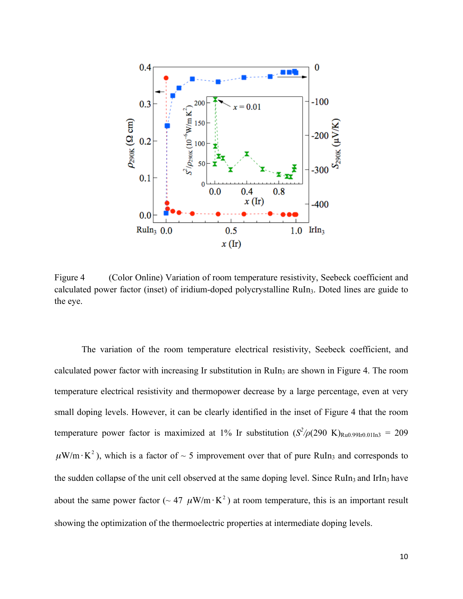

Figure 4 (Color Online) Variation of room temperature resistivity, Seebeck coefficient and calculated power factor (inset) of iridium-doped polycrystalline RuIn3. Doted lines are guide to the eye.

The variation of the room temperature electrical resistivity, Seebeck coefficient, and calculated power factor with increasing Ir substitution in RuIn<sub>3</sub> are shown in Figure 4. The room temperature electrical resistivity and thermopower decrease by a large percentage, even at very small doping levels. However, it can be clearly identified in the inset of Figure 4 that the room temperature power factor is maximized at 1% Ir substitution  $(S^2/\rho(290 \text{ K})_{\text{Ru0.99Ir0.01In3}} = 209$  $\mu$ W/m·K<sup>2</sup>), which is a factor of ~ 5 improvement over that of pure RuIn<sub>3</sub> and corresponds to the sudden collapse of the unit cell observed at the same doping level. Since  $\text{Ruln}_3$  and IrIn<sub>3</sub> have about the same power factor ( $\sim 47 \mu W/m \cdot K^2$ ) at room temperature, this is an important result showing the optimization of the thermoelectric properties at intermediate doping levels.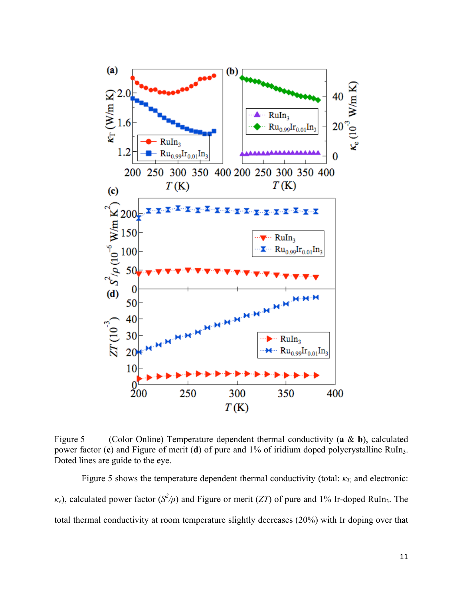

Figure 5 (Color Online) Temperature dependent thermal conductivity (**a** & **b**), calculated power factor (c) and Figure of merit (d) of pure and 1% of iridium doped polycrystalline RuIn<sub>3</sub>. Doted lines are guide to the eye.

Figure 5 shows the temperature dependent thermal conductivity (total: *κT,* and electronic: *κ*<sub>*e*</sub>), calculated power factor (*S<sup>2</sup>/ρ*) and Figure or merit (*ZT*) of pure and 1% Ir-doped RuIn<sub>3</sub>. The total thermal conductivity at room temperature slightly decreases (20%) with Ir doping over that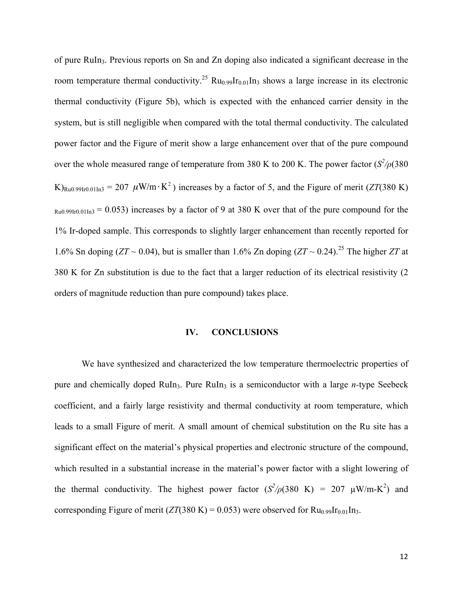of pure RuIn3. Previous reports on Sn and Zn doping also indicated a significant decrease in the room temperature thermal conductivity.<sup>25</sup> Ru<sub>0.99</sub>Ir<sub>0.01</sub>In<sub>3</sub> shows a large increase in its electronic thermal conductivity (Figure 5b), which is expected with the enhanced carrier density in the system, but is still negligible when compared with the total thermal conductivity. The calculated power factor and the Figure of merit show a large enhancement over that of the pure compound over the whole measured range of temperature from 380 K to 200 K. The power factor  $(S^2/\rho(380))$ K)<sub>Ru0.99Ir0.01In3</sub> = 207  $\mu$ W/m·K<sup>2</sup>) increases by a factor of 5, and the Figure of merit (*ZT*(380 K)  $Ru0.99Ir0.01In3 = 0.053$  increases by a factor of 9 at 380 K over that of the pure compound for the 1% Ir-doped sample. This corresponds to slightly larger enhancement than recently reported for 1.6% Sn doping (*ZT* ~ 0.04), but is smaller than 1.6% Zn doping (*ZT* ~ 0.24).<sup>25</sup> The higher *ZT* at 380 K for Zn substitution is due to the fact that a larger reduction of its electrical resistivity (2 orders of magnitude reduction than pure compound) takes place.

#### **IV. CONCLUSIONS**

We have synthesized and characterized the low temperature thermoelectric properties of pure and chemically doped RuIn<sub>3</sub>. Pure RuIn<sub>3</sub> is a semiconductor with a large *n*-type Seebeck coefficient, and a fairly large resistivity and thermal conductivity at room temperature, which leads to a small Figure of merit. A small amount of chemical substitution on the Ru site has a significant effect on the material's physical properties and electronic structure of the compound, which resulted in a substantial increase in the material's power factor with a slight lowering of the thermal conductivity. The highest power factor  $(S^2/\rho(380 \text{ K}) = 207 \text{ }\mu\text{W/m-K}^2)$  and corresponding Figure of merit ( $ZT(380 \text{ K}) = 0.053$ ) were observed for  $Ru_{0.99}Ir_{0.01}In_3$ .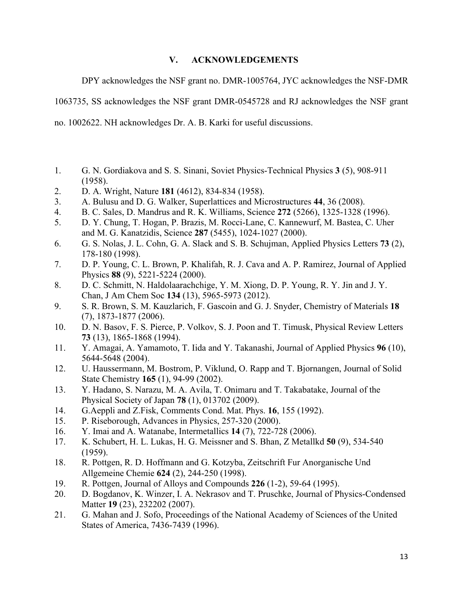### **V. ACKNOWLEDGEMENTS**

DPY acknowledges the NSF grant no. DMR-1005764, JYC acknowledges the NSF-DMR

1063735, SS acknowledges the NSF grant DMR-0545728 and RJ acknowledges the NSF grant

no. 1002622. NH acknowledges Dr. A. B. Karki for useful discussions.

- 1. G. N. Gordiakova and S. S. Sinani, Soviet Physics-Technical Physics **3** (5), 908-911 (1958).
- 2. D. A. Wright, Nature **181** (4612), 834-834 (1958).
- 3. A. Bulusu and D. G. Walker, Superlattices and Microstructures **44**, 36 (2008).
- 4. B. C. Sales, D. Mandrus and R. K. Williams, Science **272** (5266), 1325-1328 (1996).
- 5. D. Y. Chung, T. Hogan, P. Brazis, M. Rocci-Lane, C. Kannewurf, M. Bastea, C. Uher and M. G. Kanatzidis, Science **287** (5455), 1024-1027 (2000).
- 6. G. S. Nolas, J. L. Cohn, G. A. Slack and S. B. Schujman, Applied Physics Letters **73** (2), 178-180 (1998).
- 7. D. P. Young, C. L. Brown, P. Khalifah, R. J. Cava and A. P. Ramirez, Journal of Applied Physics **88** (9), 5221-5224 (2000).
- 8. D. C. Schmitt, N. Haldolaarachchige, Y. M. Xiong, D. P. Young, R. Y. Jin and J. Y. Chan, J Am Chem Soc **134** (13), 5965-5973 (2012).
- 9. S. R. Brown, S. M. Kauzlarich, F. Gascoin and G. J. Snyder, Chemistry of Materials **18** (7), 1873-1877 (2006).
- 10. D. N. Basov, F. S. Pierce, P. Volkov, S. J. Poon and T. Timusk, Physical Review Letters **73** (13), 1865-1868 (1994).
- 11. Y. Amagai, A. Yamamoto, T. Iida and Y. Takanashi, Journal of Applied Physics **96** (10), 5644-5648 (2004).
- 12. U. Haussermann, M. Bostrom, P. Viklund, O. Rapp and T. Bjornangen, Journal of Solid State Chemistry **165** (1), 94-99 (2002).
- 13. Y. Hadano, S. Narazu, M. A. Avila, T. Onimaru and T. Takabatake, Journal of the Physical Society of Japan **78** (1), 013702 (2009).
- 14. G.Aeppli and Z.Fisk, Comments Cond. Mat. Phys. **16**, 155 (1992).
- 15. P. Riseborough, Advances in Physics, 257-320 (2000).
- 16. Y. Imai and A. Watanabe, Intermetallics **14** (7), 722-728 (2006).
- 17. K. Schubert, H. L. Lukas, H. G. Meissner and S. Bhan, Z Metallkd **50** (9), 534-540 (1959).
- 18. R. Pottgen, R. D. Hoffmann and G. Kotzyba, Zeitschrift Fur Anorganische Und Allgemeine Chemie **624** (2), 244-250 (1998).
- 19. R. Pottgen, Journal of Alloys and Compounds **226** (1-2), 59-64 (1995).
- 20. D. Bogdanov, K. Winzer, I. A. Nekrasov and T. Pruschke, Journal of Physics-Condensed Matter **19** (23), 232202 (2007).
- 21. G. Mahan and J. Sofo, Proceedings of the National Academy of Sciences of the United States of America, 7436-7439 (1996).